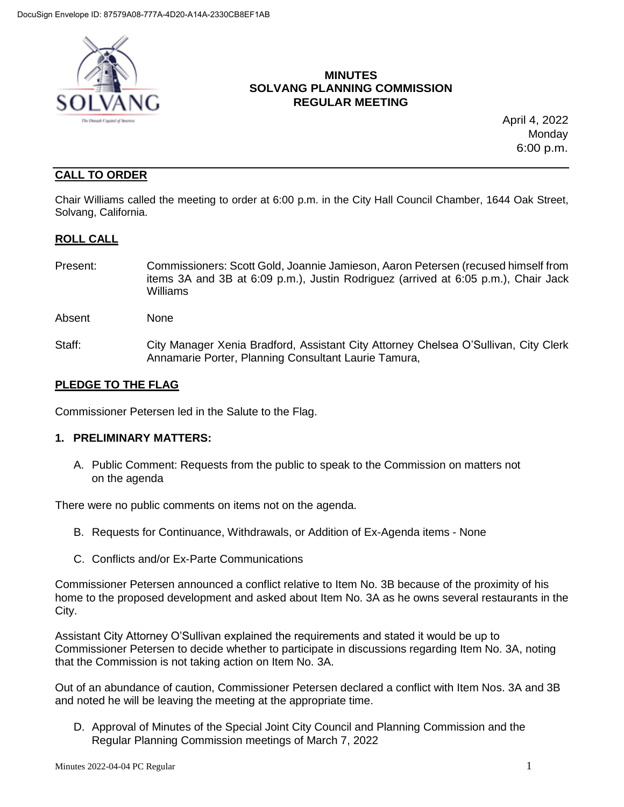

## **MINUTES SOLVANG PLANNING COMMISSION REGULAR MEETING**

 April 4, 2022 **Monday** 6:00 p.m.

# **CALL TO ORDER**

Chair Williams called the meeting to order at 6:00 p.m. in the City Hall Council Chamber, 1644 Oak Street, Solvang, California.

### **ROLL CALL**

- Present: Commissioners: Scott Gold, Joannie Jamieson, Aaron Petersen (recused himself from items 3A and 3B at 6:09 p.m.), Justin Rodriguez (arrived at 6:05 p.m.), Chair Jack Williams
- Absent None
- Staff: City Manager Xenia Bradford, Assistant City Attorney Chelsea O'Sullivan, City Clerk Annamarie Porter, Planning Consultant Laurie Tamura,

### **PLEDGE TO THE FLAG**

Commissioner Petersen led in the Salute to the Flag.

### **1. PRELIMINARY MATTERS:**

A. Public Comment: Requests from the public to speak to the Commission on matters not on the agenda

There were no public comments on items not on the agenda.

- B. Requests for Continuance, Withdrawals, or Addition of Ex-Agenda items None
- C. Conflicts and/or Ex-Parte Communications

Commissioner Petersen announced a conflict relative to Item No. 3B because of the proximity of his home to the proposed development and asked about Item No. 3A as he owns several restaurants in the City.

Assistant City Attorney O'Sullivan explained the requirements and stated it would be up to Commissioner Petersen to decide whether to participate in discussions regarding Item No. 3A, noting that the Commission is not taking action on Item No. 3A.

Out of an abundance of caution, Commissioner Petersen declared a conflict with Item Nos. 3A and 3B and noted he will be leaving the meeting at the appropriate time.

D. Approval of Minutes of the Special Joint City Council and Planning Commission and the Regular Planning Commission meetings of March 7, 2022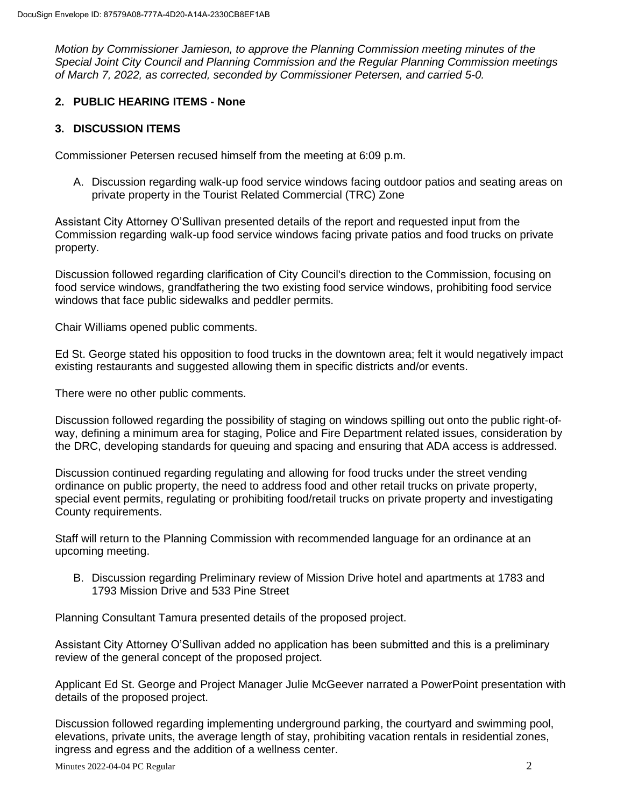*Motion by Commissioner Jamieson, to approve the Planning Commission meeting minutes of the Special Joint City Council and Planning Commission and the Regular Planning Commission meetings of March 7, 2022, as corrected, seconded by Commissioner Petersen, and carried 5-0.*

### **2. PUBLIC HEARING ITEMS - None**

#### **3. DISCUSSION ITEMS**

Commissioner Petersen recused himself from the meeting at 6:09 p.m.

A. Discussion regarding walk-up food service windows facing outdoor patios and seating areas on private property in the Tourist Related Commercial (TRC) Zone

Assistant City Attorney O'Sullivan presented details of the report and requested input from the Commission regarding walk-up food service windows facing private patios and food trucks on private property.

Discussion followed regarding clarification of City Council's direction to the Commission, focusing on food service windows, grandfathering the two existing food service windows, prohibiting food service windows that face public sidewalks and peddler permits.

Chair Williams opened public comments.

Ed St. George stated his opposition to food trucks in the downtown area; felt it would negatively impact existing restaurants and suggested allowing them in specific districts and/or events.

There were no other public comments.

Discussion followed regarding the possibility of staging on windows spilling out onto the public right-ofway, defining a minimum area for staging, Police and Fire Department related issues, consideration by the DRC, developing standards for queuing and spacing and ensuring that ADA access is addressed.

Discussion continued regarding regulating and allowing for food trucks under the street vending ordinance on public property, the need to address food and other retail trucks on private property, special event permits, regulating or prohibiting food/retail trucks on private property and investigating County requirements.

Staff will return to the Planning Commission with recommended language for an ordinance at an upcoming meeting.

B. Discussion regarding Preliminary review of Mission Drive hotel and apartments at 1783 and 1793 Mission Drive and 533 Pine Street

Planning Consultant Tamura presented details of the proposed project.

Assistant City Attorney O'Sullivan added no application has been submitted and this is a preliminary review of the general concept of the proposed project.

Applicant Ed St. George and Project Manager Julie McGeever narrated a PowerPoint presentation with details of the proposed project.

Discussion followed regarding implementing underground parking, the courtyard and swimming pool, elevations, private units, the average length of stay, prohibiting vacation rentals in residential zones, ingress and egress and the addition of a wellness center.